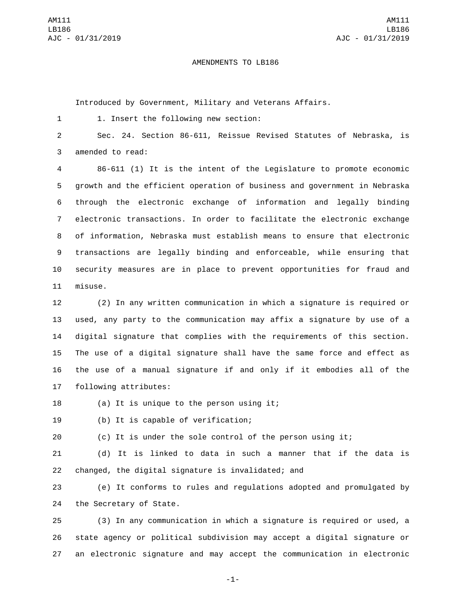## AMENDMENTS TO LB186

Introduced by Government, Military and Veterans Affairs.

1. Insert the following new section:1

2 Sec. 24. Section 86-611, Reissue Revised Statutes of Nebraska, is 3 amended to read:

 86-611 (1) It is the intent of the Legislature to promote economic growth and the efficient operation of business and government in Nebraska through the electronic exchange of information and legally binding electronic transactions. In order to facilitate the electronic exchange of information, Nebraska must establish means to ensure that electronic transactions are legally binding and enforceable, while ensuring that security measures are in place to prevent opportunities for fraud and 11 misuse.

 (2) In any written communication in which a signature is required or used, any party to the communication may affix a signature by use of a digital signature that complies with the requirements of this section. The use of a digital signature shall have the same force and effect as the use of a manual signature if and only if it embodies all of the 17 following attributes:

18 (a) It is unique to the person using it;

19 (b) It is capable of verification;

20 (c) It is under the sole control of the person using it;

21 (d) It is linked to data in such a manner that if the data is 22 changed, the digital signature is invalidated; and

23 (e) It conforms to rules and regulations adopted and promulgated by 24 the Secretary of State.

25 (3) In any communication in which a signature is required or used, a 26 state agency or political subdivision may accept a digital signature or 27 an electronic signature and may accept the communication in electronic

-1-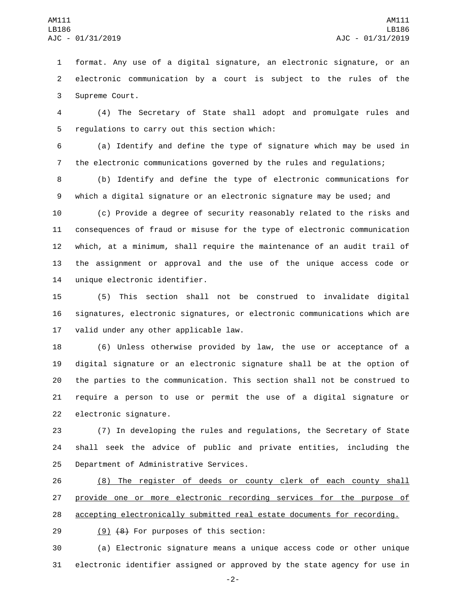format. Any use of a digital signature, an electronic signature, or an electronic communication by a court is subject to the rules of the 3 Supreme Court.

 (4) The Secretary of State shall adopt and promulgate rules and 5 regulations to carry out this section which:

 (a) Identify and define the type of signature which may be used in the electronic communications governed by the rules and regulations;

 (b) Identify and define the type of electronic communications for which a digital signature or an electronic signature may be used; and

 (c) Provide a degree of security reasonably related to the risks and consequences of fraud or misuse for the type of electronic communication which, at a minimum, shall require the maintenance of an audit trail of the assignment or approval and the use of the unique access code or 14 unique electronic identifier.

 (5) This section shall not be construed to invalidate digital signatures, electronic signatures, or electronic communications which are 17 valid under any other applicable law.

 (6) Unless otherwise provided by law, the use or acceptance of a digital signature or an electronic signature shall be at the option of the parties to the communication. This section shall not be construed to require a person to use or permit the use of a digital signature or 22 electronic signature.

 (7) In developing the rules and regulations, the Secretary of State shall seek the advice of public and private entities, including the 25 Department of Administrative Services.

 (8) The register of deeds or county clerk of each county shall 27 provide one or more electronic recording services for the purpose of accepting electronically submitted real estate documents for recording.

29 (9) (8) For purposes of this section:

 (a) Electronic signature means a unique access code or other unique electronic identifier assigned or approved by the state agency for use in

-2-